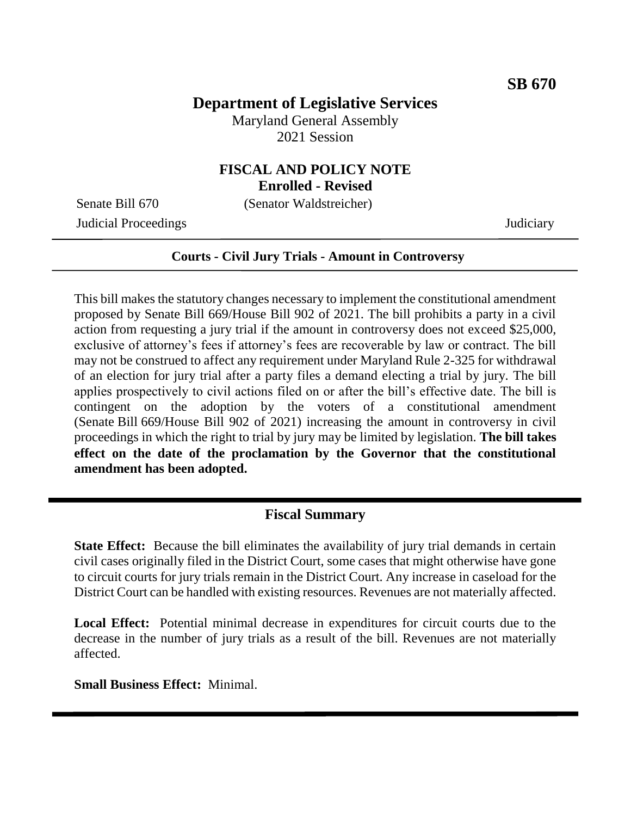## **Department of Legislative Services**

Maryland General Assembly 2021 Session

# **FISCAL AND POLICY NOTE**

**Enrolled - Revised**

Senate Bill 670 (Senator Waldstreicher)

Judicial Proceedings Judiciary

#### **Courts - Civil Jury Trials - Amount in Controversy**

This bill makes the statutory changes necessary to implement the constitutional amendment proposed by Senate Bill 669/House Bill 902 of 2021. The bill prohibits a party in a civil action from requesting a jury trial if the amount in controversy does not exceed \$25,000, exclusive of attorney's fees if attorney's fees are recoverable by law or contract. The bill may not be construed to affect any requirement under Maryland Rule 2-325 for withdrawal of an election for jury trial after a party files a demand electing a trial by jury. The bill applies prospectively to civil actions filed on or after the bill's effective date. The bill is contingent on the adoption by the voters of a constitutional amendment (Senate Bill 669/House Bill 902 of 2021) increasing the amount in controversy in civil proceedings in which the right to trial by jury may be limited by legislation. **The bill takes effect on the date of the proclamation by the Governor that the constitutional amendment has been adopted.** 

### **Fiscal Summary**

**State Effect:** Because the bill eliminates the availability of jury trial demands in certain civil cases originally filed in the District Court, some cases that might otherwise have gone to circuit courts for jury trials remain in the District Court. Any increase in caseload for the District Court can be handled with existing resources. Revenues are not materially affected.

**Local Effect:** Potential minimal decrease in expenditures for circuit courts due to the decrease in the number of jury trials as a result of the bill. Revenues are not materially affected.

**Small Business Effect:** Minimal.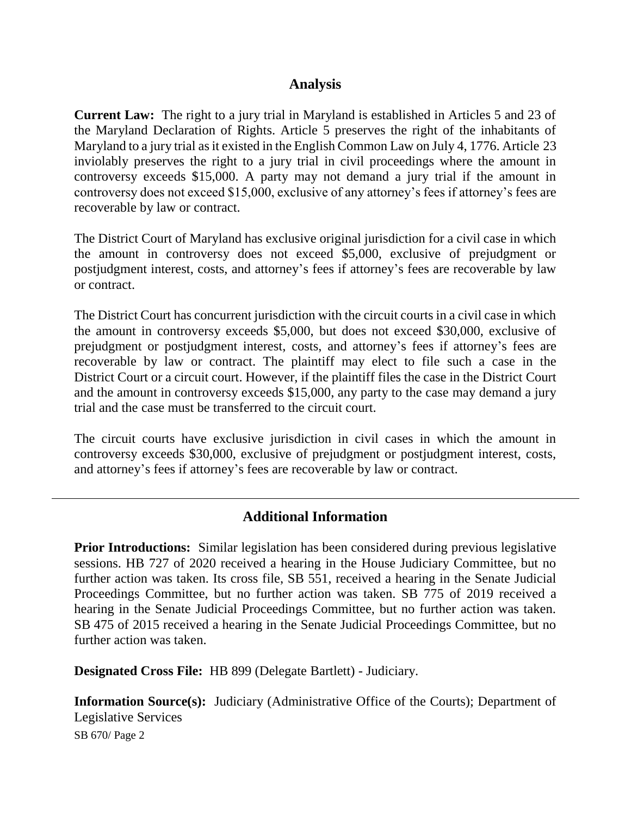#### **Analysis**

**Current Law:** The right to a jury trial in Maryland is established in Articles 5 and 23 of the Maryland Declaration of Rights. Article 5 preserves the right of the inhabitants of Maryland to a jury trial as it existed in the English Common Law on July 4, 1776. Article 23 inviolably preserves the right to a jury trial in civil proceedings where the amount in controversy exceeds \$15,000. A party may not demand a jury trial if the amount in controversy does not exceed \$15,000, exclusive of any attorney's fees if attorney's fees are recoverable by law or contract.

The District Court of Maryland has exclusive original jurisdiction for a civil case in which the amount in controversy does not exceed \$5,000, exclusive of prejudgment or postjudgment interest, costs, and attorney's fees if attorney's fees are recoverable by law or contract.

The District Court has concurrent jurisdiction with the circuit courts in a civil case in which the amount in controversy exceeds \$5,000, but does not exceed \$30,000, exclusive of prejudgment or postjudgment interest, costs, and attorney's fees if attorney's fees are recoverable by law or contract. The plaintiff may elect to file such a case in the District Court or a circuit court. However, if the plaintiff files the case in the District Court and the amount in controversy exceeds \$15,000, any party to the case may demand a jury trial and the case must be transferred to the circuit court.

The circuit courts have exclusive jurisdiction in civil cases in which the amount in controversy exceeds \$30,000, exclusive of prejudgment or postjudgment interest, costs, and attorney's fees if attorney's fees are recoverable by law or contract.

### **Additional Information**

**Prior Introductions:** Similar legislation has been considered during previous legislative sessions. HB 727 of 2020 received a hearing in the House Judiciary Committee, but no further action was taken. Its cross file, SB 551, received a hearing in the Senate Judicial Proceedings Committee, but no further action was taken. SB 775 of 2019 received a hearing in the Senate Judicial Proceedings Committee, but no further action was taken. SB 475 of 2015 received a hearing in the Senate Judicial Proceedings Committee, but no further action was taken.

**Designated Cross File:** HB 899 (Delegate Bartlett) - Judiciary.

**Information Source(s):** Judiciary (Administrative Office of the Courts); Department of Legislative Services

SB 670/ Page 2